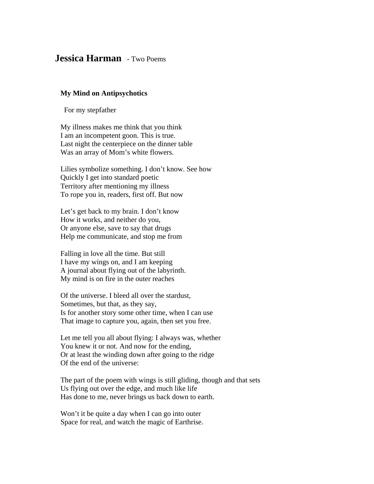## **Jessica Harman** - Two Poems

## **My Mind on Antipsychotics**

For my stepfather

My illness makes me think that you think I am an incompetent goon. This is true. Last night the centerpiece on the dinner table Was an array of Mom's white flowers.

Lilies symbolize something. I don't know. See how Quickly I get into standard poetic Territory after mentioning my illness To rope you in, readers, first off. But now

Let's get back to my brain. I don't know How it works, and neither do you, Or anyone else, save to say that drugs Help me communicate, and stop me from

Falling in love all the time. But still I have my wings on, and I am keeping A journal about flying out of the labyrinth. My mind is on fire in the outer reaches

Of the universe. I bleed all over the stardust, Sometimes, but that, as they say, Is for another story some other time, when I can use That image to capture you, again, then set you free.

Let me tell you all about flying: I always was, whether You knew it or not. And now for the ending, Or at least the winding down after going to the ridge Of the end of the universe:

The part of the poem with wings is still gliding, though and that sets Us flying out over the edge, and much like life Has done to me, never brings us back down to earth.

Won't it be quite a day when I can go into outer Space for real, and watch the magic of Earthrise.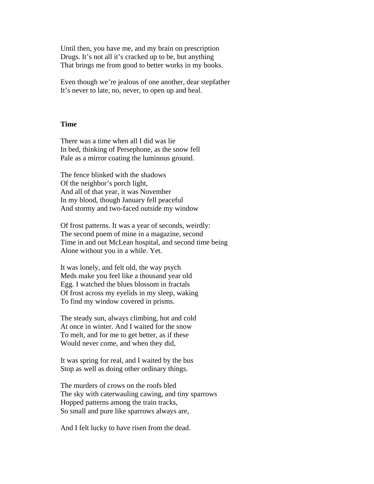Until then, you have me, and my brain on prescription Drugs. It's not all it's cracked up to be, but anything That brings me from good to better works in my books.

Even though we're jealous of one another, dear stepfather It's never to late, no, never, to open up and heal.

## **Time**

There was a time when all I did was lie In bed, thinking of Persephone, as the snow fell Pale as a mirror coating the luminous ground.

The fence blinked with the shadows Of the neighbor's porch light, And all of that year, it was November In my blood, though January fell peaceful And stormy and two-faced outside my window

Of frost patterns. It was a year of seconds, weirdly: The second poem of mine in a magazine, second Time in and out McLean hospital, and second time being Alone without you in a while. Yet.

It was lonely, and felt old, the way psych Meds make you feel like a thousand year old Egg. I watched the blues blossom in fractals Of frost across my eyelids in my sleep, waking To find my window covered in prisms.

The steady sun, always climbing, hot and cold At once in winter. And I waited for the snow To melt, and for me to get better, as if these Would never come, and when they did,

It was spring for real, and I waited by the bus Stop as well as doing other ordinary things.

The murders of crows on the roofs bled The sky with caterwauling cawing, and tiny sparrows Hopped patterns among the train tracks, So small and pure like sparrows always are,

And I felt lucky to have risen from the dead.